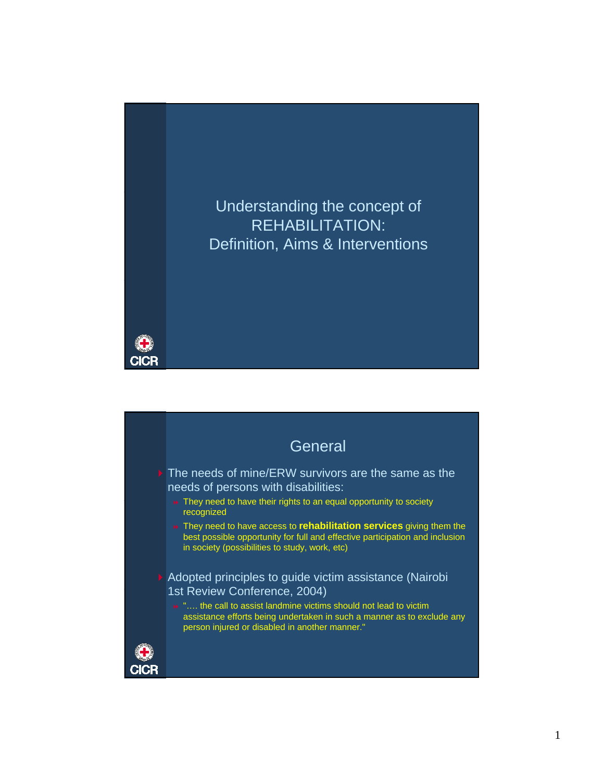

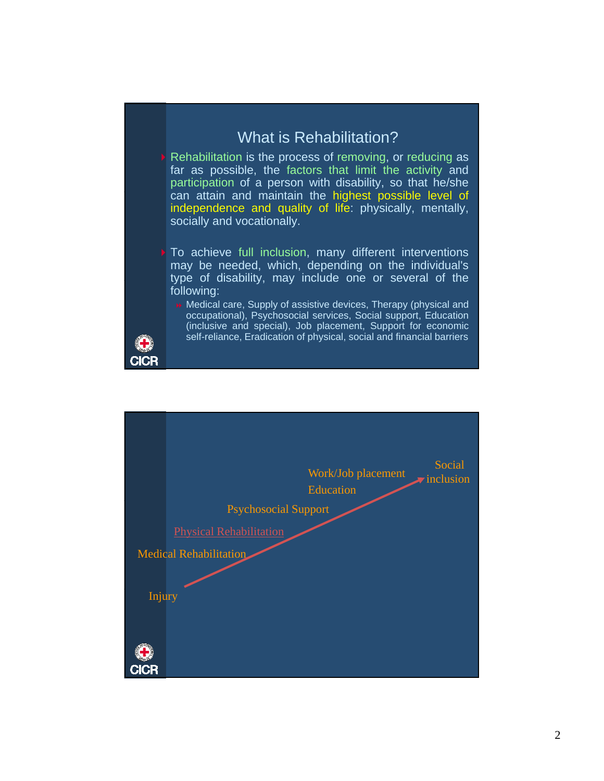## What is Rehabilitation?

- Rehabilitation is the process of removing, or reducing as far as possible, the factors that limit the activity and participation of a person with disability, so that he/she can attain and maintain the highest possible level of independence and quality of life: physically, mentally, socially and vocationally.
- To achieve full inclusion, many different interventions may be needed, which, depending on the individual's type of disability, may include one or several of the following:

**Medical care, Supply of assistive devices, Therapy (physical and** occupational), Psychosocial services, Social support, Education (inclusive and special), Job placement, Support for economic self-reliance, Eradication of physical, social and financial barriers



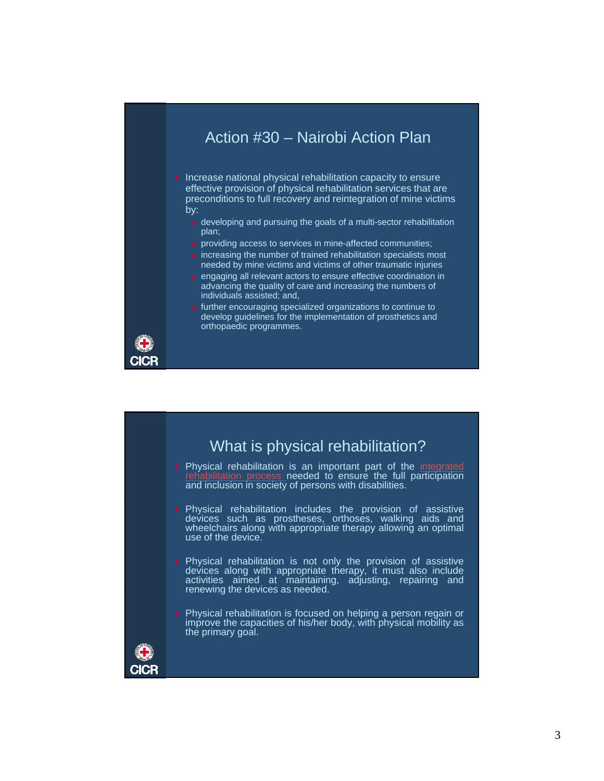## Action #30 – Nairobi Action Plan

 $\blacktriangleright$  Increase national physical rehabilitation capacity to ensure effective provision of physical rehabilitation services that are preconditions to full recovery and reintegration of mine victims by:

- developing and pursuing the goals of a multi-sector rehabilitation plan;
- **»** providing access to services in mine-affected communities;
- $\rightarrow$  increasing the number of trained rehabilitation specialists most needed by mine victims and victims of other traumatic injuries
- $\rightarrow$  engaging all relevant actors to ensure effective coordination in advancing the quality of care and increasing the numbers of individuals assisted; and,



**»** further encouraging specialized organizations to continue to develop guidelines for the implementation of prosthetics and orthopaedic programmes.



**Physical rehabilitation is an important part of the integrated** needed to ensure the full participation and inclusion in society of persons with disabilities.

- Physical rehabilitation includes the provision of assistive devices such as prostheses, orthoses, walking aids and wheelchairs along with appropriate therapy allowing an optimal use of the device.
- Physical rehabilitation is not only the provision of assistive devices along with appropriate therapy, it must also include activities aimed at maintaining, adjusting, repairing and renewing the devices as needed.
- Physical rehabilitation is focused on helping a person regain or improve the capacities of his/her body, with physical mobility as the primary goal.

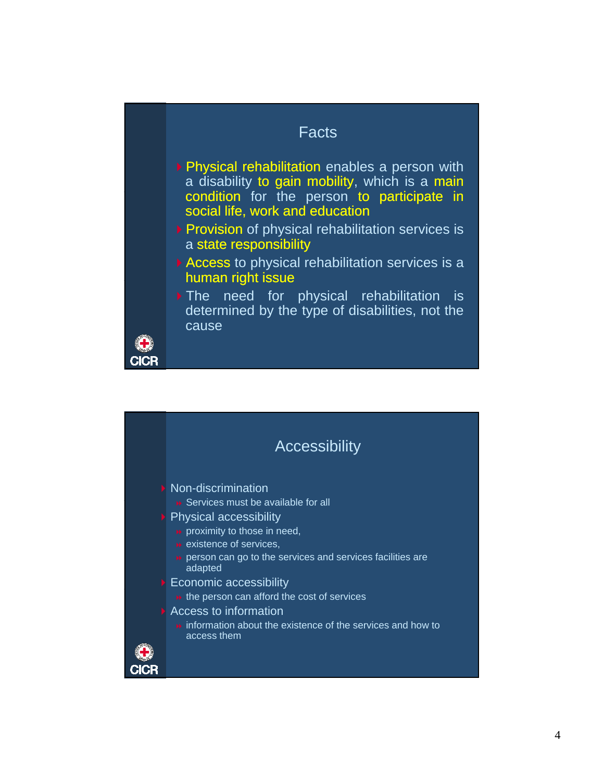## Facts

- **Physical rehabilitation enables a person with** a disability to gain mobility, which is a main condition for the person to participate in social life, work and education
- **Provision of physical rehabilitation services is** a state responsibility
- Access to physical rehabilitation services is a human right issue
- The need for physical rehabilitation is determined by the type of disabilities, not the cause

CICI

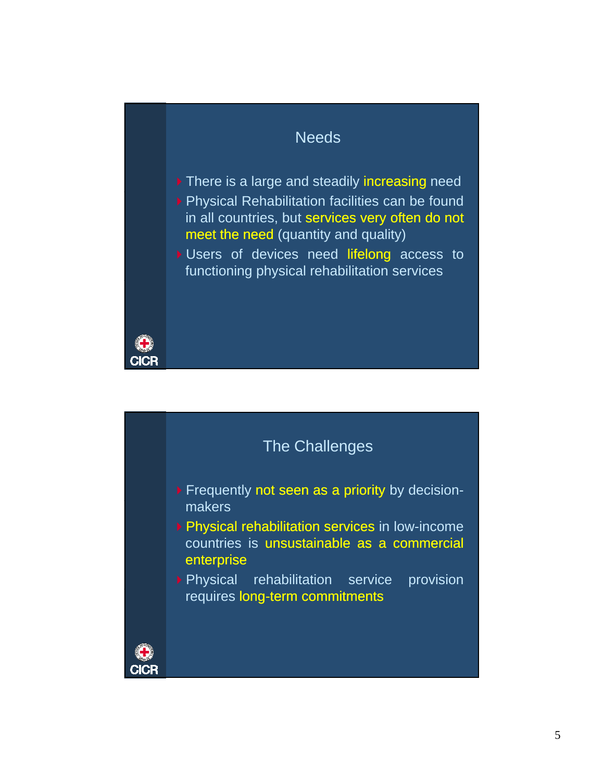## **Needs**

- There is a large and steadily increasing need ▶ Physical Rehabilitation facilities can be found in all countries, but services very often do not meet the need (quantity and quality)
- Users of devices need lifelong access to functioning physical rehabilitation services



**CICF**